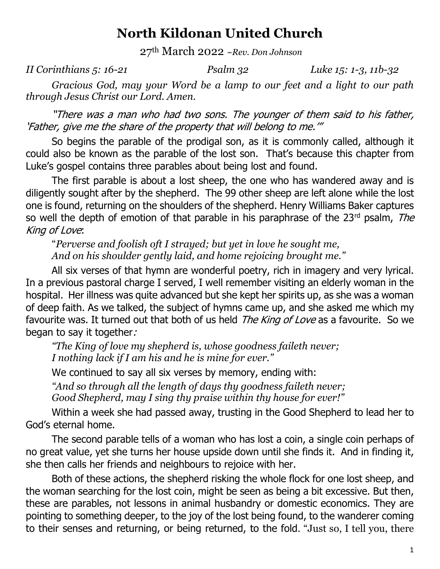## **North Kildonan United Church**

27th March 2022 *~Rev. Don Johnson*

*II Corinthians 5: 16-21 Psalm 32 Luke 15: 1-3, 11b-32*

*Gracious God, may your Word be a lamp to our feet and a light to our path through Jesus Christ our Lord. Amen.*

"There was a man who had two sons. The younger of them said to his father, 'Father, give me the share of the property that will belong to me.'"

So begins the parable of the prodigal son, as it is commonly called, although it could also be known as the parable of the lost son. That's because this chapter from Luke's gospel contains three parables about being lost and found.

The first parable is about a lost sheep, the one who has wandered away and is diligently sought after by the shepherd. The 99 other sheep are left alone while the lost one is found, returning on the shoulders of the shepherd. Henry Williams Baker captures so well the depth of emotion of that parable in his paraphrase of the  $23<sup>rd</sup>$  psalm, The King of Love:

"*Perverse and foolish oft I strayed; but yet in love he sought me, And on his shoulder gently laid, and home rejoicing brought me."*

All six verses of that hymn are wonderful poetry, rich in imagery and very lyrical. In a previous pastoral charge I served, I well remember visiting an elderly woman in the hospital. Her illness was quite advanced but she kept her spirits up, as she was a woman of deep faith. As we talked, the subject of hymns came up, and she asked me which my favourite was. It turned out that both of us held *The King of Love* as a favourite. So we began to say it together:

*"The King of love my shepherd is, whose goodness faileth never; I nothing lack if I am his and he is mine for ever."*

We continued to say all six verses by memory, ending with: *"And so through all the length of days thy goodness faileth never; Good Shepherd, may I sing thy praise within thy house for ever!"*

Within a week she had passed away, trusting in the Good Shepherd to lead her to God's eternal home.

The second parable tells of a woman who has lost a coin, a single coin perhaps of no great value, yet she turns her house upside down until she finds it. And in finding it, she then calls her friends and neighbours to rejoice with her.

Both of these actions, the shepherd risking the whole flock for one lost sheep, and the woman searching for the lost coin, might be seen as being a bit excessive. But then, these are parables, not lessons in animal husbandry or domestic economics. They are pointing to something deeper, to the joy of the lost being found, to the wanderer coming to their senses and returning, or being returned, to the fold. "Just so, I tell you, there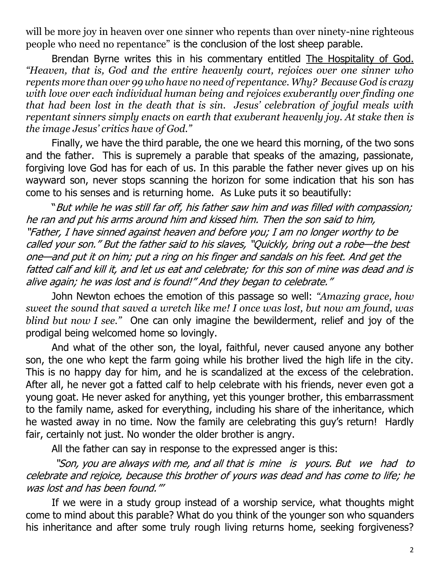will be more joy in heaven over one sinner who repents than over ninety-nine righteous people who need no repentance" is the conclusion of the lost sheep parable.

Brendan Byrne writes this in his commentary entitled The Hospitality of God. *"Heaven, that is, God and the entire heavenly court, rejoices over one sinner who repents more than over 99 who have no need of repentance. Why? Because God is crazy with love over each individual human being and rejoices exuberantly over finding one that had been lost in the death that is sin. Jesus' celebration of joyful meals with repentant sinners simply enacts on earth that exuberant heavenly joy. At stake then is the image Jesus' critics have of God."*

Finally, we have the third parable, the one we heard this morning, of the two sons and the father. This is supremely a parable that speaks of the amazing, passionate, forgiving love God has for each of us. In this parable the father never gives up on his wayward son, never stops scanning the horizon for some indication that his son has come to his senses and is returning home. As Luke puts it so beautifully:

"But while he was still far off, his father saw him and was filled with compassion; he ran and put his arms around him and kissed him. Then the son said to him, "Father, I have sinned against heaven and before you; I am no longer worthy to be called your son." But the father said to his slaves, "Quickly, bring out a robe—the best one—and put it on him; put a ring on his finger and sandals on his feet. And get the fatted calf and kill it, and let us eat and celebrate; for this son of mine was dead and is alive again; he was lost and is found!" And they began to celebrate."

John Newton echoes the emotion of this passage so well: *"Amazing grace, how sweet the sound that saved a wretch like me! I once was lost, but now am found, was blind but now I see."* One can only imagine the bewilderment, relief and joy of the prodigal being welcomed home so lovingly.

And what of the other son, the loyal, faithful, never caused anyone any bother son, the one who kept the farm going while his brother lived the high life in the city. This is no happy day for him, and he is scandalized at the excess of the celebration. After all, he never got a fatted calf to help celebrate with his friends, never even got a young goat. He never asked for anything, yet this younger brother, this embarrassment to the family name, asked for everything, including his share of the inheritance, which he wasted away in no time. Now the family are celebrating this guy's return! Hardly fair, certainly not just. No wonder the older brother is angry.

All the father can say in response to the expressed anger is this:

"Son, you are always with me, and all that is mine is yours. But we had to celebrate and rejoice, because this brother of yours was dead and has come to life; he was lost and has been found."'

If we were in a study group instead of a worship service, what thoughts might come to mind about this parable? What do you think of the younger son who squanders his inheritance and after some truly rough living returns home, seeking forgiveness?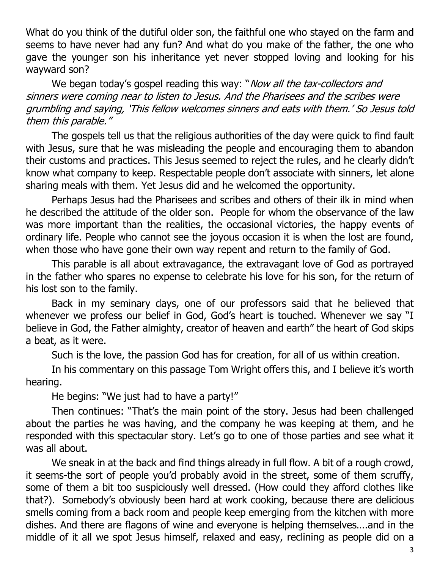What do you think of the dutiful older son, the faithful one who stayed on the farm and seems to have never had any fun? And what do you make of the father, the one who gave the younger son his inheritance yet never stopped loving and looking for his wayward son?

We began today's gospel reading this way: "*Now all the tax-collectors and* sinners were coming near to listen to Jesus. And the Pharisees and the scribes were grumbling and saying, 'This fellow welcomes sinners and eats with them.' So Jesus told them this parable."

The gospels tell us that the religious authorities of the day were quick to find fault with Jesus, sure that he was misleading the people and encouraging them to abandon their customs and practices. This Jesus seemed to reject the rules, and he clearly didn't know what company to keep. Respectable people don't associate with sinners, let alone sharing meals with them. Yet Jesus did and he welcomed the opportunity.

Perhaps Jesus had the Pharisees and scribes and others of their ilk in mind when he described the attitude of the older son. People for whom the observance of the law was more important than the realities, the occasional victories, the happy events of ordinary life. People who cannot see the joyous occasion it is when the lost are found, when those who have gone their own way repent and return to the family of God.

This parable is all about extravagance, the extravagant love of God as portrayed in the father who spares no expense to celebrate his love for his son, for the return of his lost son to the family.

Back in my seminary days, one of our professors said that he believed that whenever we profess our belief in God, God's heart is touched. Whenever we say "I believe in God, the Father almighty, creator of heaven and earth" the heart of God skips a beat, as it were.

Such is the love, the passion God has for creation, for all of us within creation.

In his commentary on this passage Tom Wright offers this, and I believe it's worth hearing.

He begins: "We just had to have a party!"

Then continues: "That's the main point of the story. Jesus had been challenged about the parties he was having, and the company he was keeping at them, and he responded with this spectacular story. Let's go to one of those parties and see what it was all about.

We sneak in at the back and find things already in full flow. A bit of a rough crowd, it seems-the sort of people you'd probably avoid in the street, some of them scruffy, some of them a bit too suspiciously well dressed. (How could they afford clothes like that?). Somebody's obviously been hard at work cooking, because there are delicious smells coming from a back room and people keep emerging from the kitchen with more dishes. And there are flagons of wine and everyone is helping themselves….and in the middle of it all we spot Jesus himself, relaxed and easy, reclining as people did on a